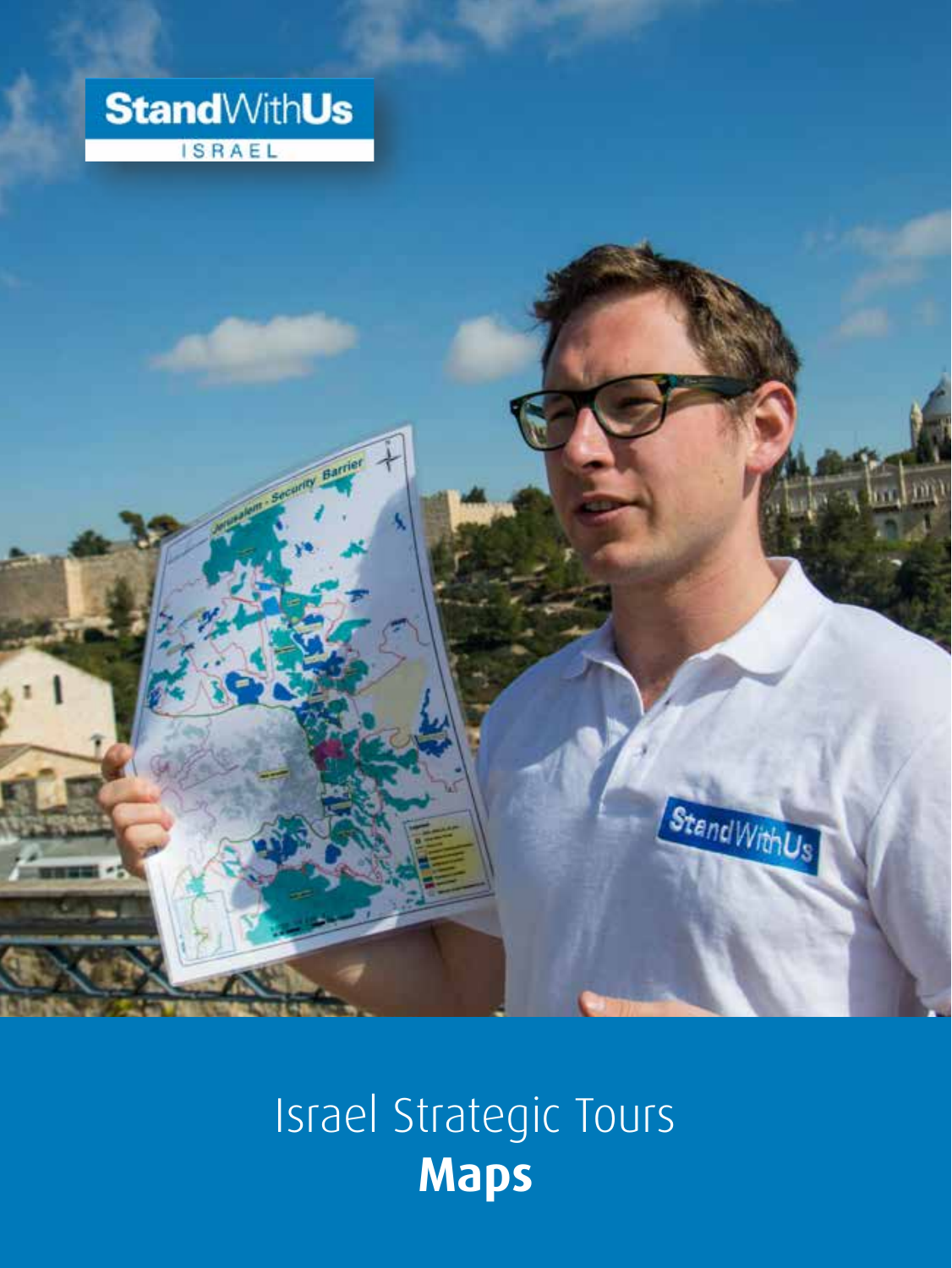



## Israel Strategic Tours **Maps**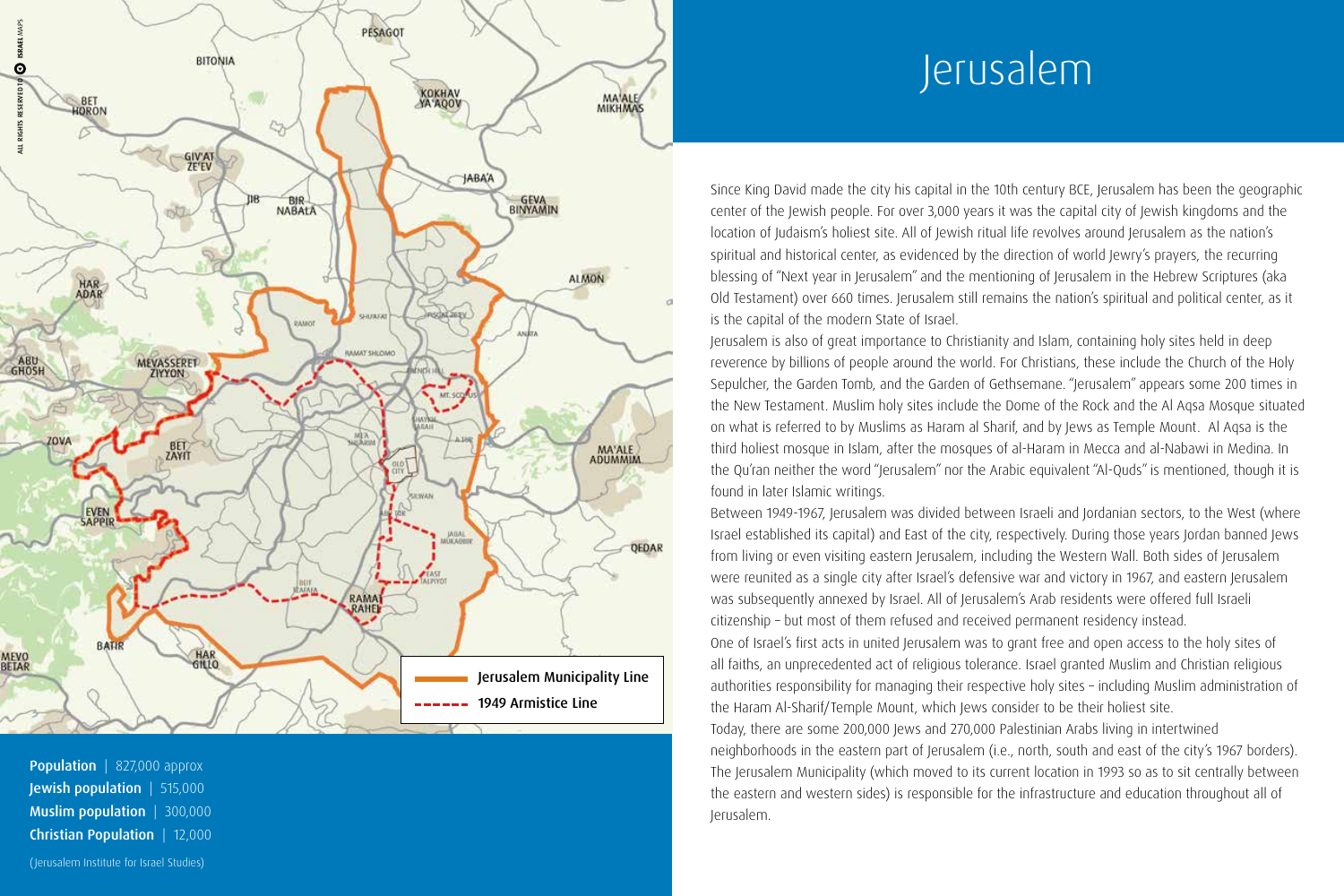

**Population**  $| 827,000$  approx **Jewish population**  $\vert$  515,000 Muslim population | 300,000 **Christian Population** | 12,000 (Jerusalem Institute for Israel Studies)

# Jerusalem

Since King David made the city his capital in the 10th century BCE, Jerusalem has been the geographic center of the Jewish people. For over 3,000 years it was the capital city of Jewish kingdoms and the location of Judaism's holiest site. All of Jewish ritual life revolves around Jerusalem as the nation's spiritual and historical center, as evidenced by the direction of world Jewry's prayers, the recurring blessing of "Next year in Jerusalem" and the mentioning of Jerusalem in the Hebrew Scriptures (aka Old Testament) over 660 times. Jerusalem still remains the nation's spiritual and political center, as it is the capital of the modern State of Israel.

Jerusalem is also of great importance to Christianity and Islam, containing holy sites held in deep reverence by billions of people around the world. For Christians, these include the Church of the Holy Sepulcher, the Garden Tomb, and the Garden of Gethsemane. "Jerusalem" appears some 200 times in the New Testament. Muslim holy sites include the Dome of the Rock and the Al Agsa Mosque situated on what is referred to by Muslims as Haram al Sharif, and by Jews as Temple Mount. Al Agsa is the third holiest mosque in Islam, after the mosques of al-Haram in Mecca and al-Nabawi in Medina. In the Qu'ran neither the word "Jerusalem" nor the Arabic equivalent "Al-Quds" is mentioned, though it is found in later Islamic writings.

Between 1949-1967, Jerusalem was divided between Israeli and Jordanian sectors, to the West (where Israel established its capital) and East of the city, respectively. During those years Jordan banned Jews from living or even visiting eastern Jerusalem, including the Western Wall. Both sides of Jerusalem were reunited as a single city after Israel's defensive war and victory in 1967, and eastern Jerusalem was subsequently annexed by Israel. All of Jerusalem's Arab residents were offered full Israeli citizenship - but most of them refused and received permanent residency instead. One of Israel's first acts in united Jerusalem was to grant free and open access to the holy sites of all faiths, an unprecedented act of religious tolerance. Israel granted Muslim and Christian religious authorities responsibility for managing their respective holy sites - including Muslim administration of the Haram Al-Sharif/Temple Mount, which Jews consider to be their holiest site. Today, there are some 200,000 Jews and 270,000 Palestinian Arabs living in intertwined neighborhoods in the eastern part of Jerusalem (i.e., north, south and east of the city's 1967 borders). The Jerusalem Municipality (which moved to its current location in 1993 so as to sit centrally between the eastern and western sides) is responsible for the infrastructure and education throughout all of

.Jerusalem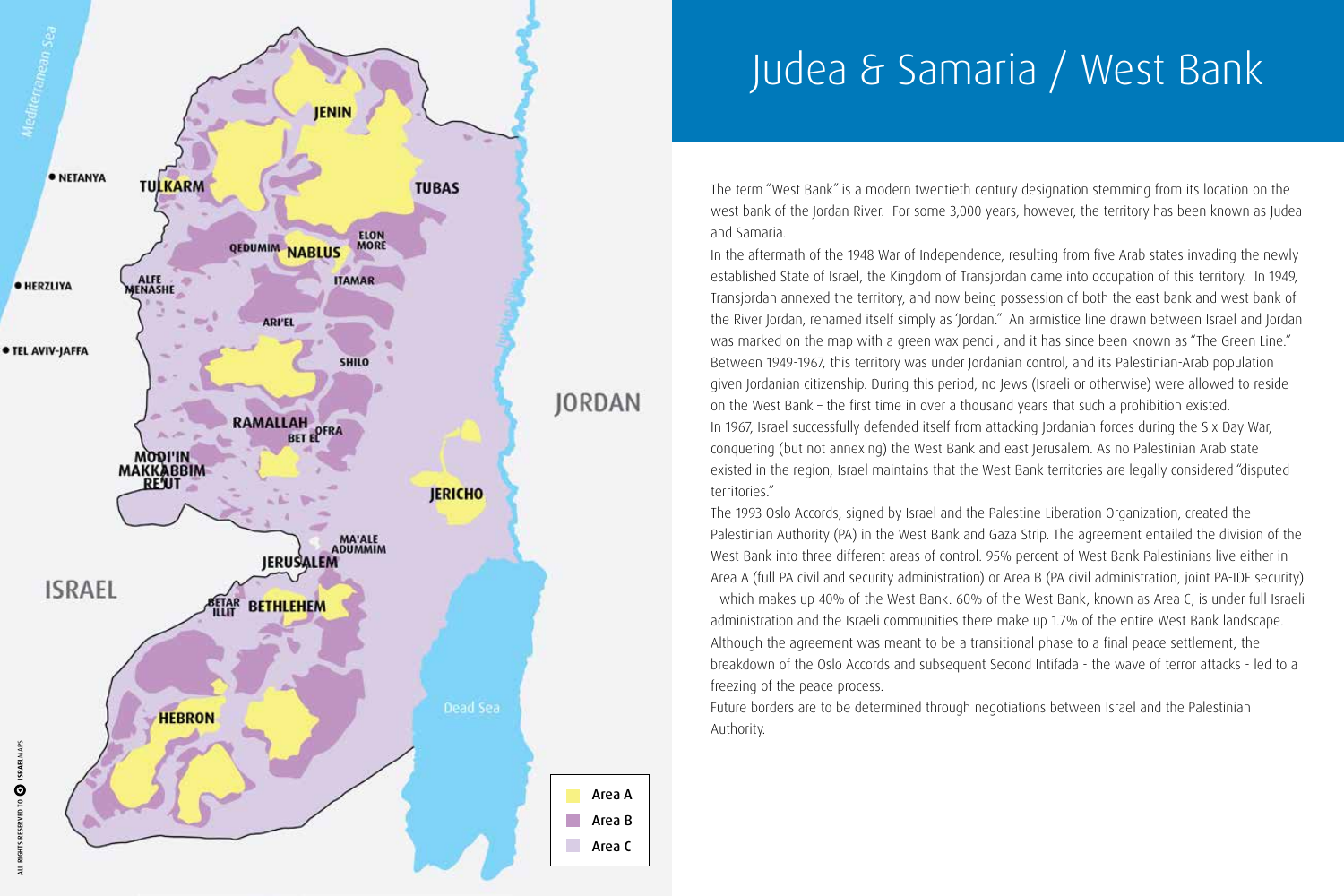

# Judea & Samaria / West Bank

The term "West Bank" is a modern twentieth century designation stemming from its location on the west bank of the Jordan River. For some 3,000 years, however, the territory has been known as Judea and Samaria.

In the aftermath of the 1948 War of Independence, resulting from five Arab states invading the newly established State of Israel, the Kingdom of Transjordan came into occupation of this territory. In 1949, Transjordan annexed the territory, and now being possession of both the east bank and west bank of the River Jordan, renamed itself simply as 'Jordan." An armistice line drawn between Israel and Jordan was marked on the map with a green wax pencil, and it has since been known as "The Green Line." Between 1949-1967, this territory was under Jordanian control, and its Palestinian-Arab population given Jordanian citizenship. During this period, no Jews (Israeli or otherwise) were allowed to reside on the West Bank – the first time in over a thousand years that such a prohibition existed. In 1967, Israel successfully defended itself from attacking Jordanian forces during the Six Day War, conquering (but not annexing) the West Bank and east Jerusalem. As no Palestinian Arab state existed in the region, Israel maintains that the West Bank territories are legally considered "disputed territories."

The 1993 Oslo Accords, signed by Israel and the Palestine Liberation Organization, created the Palestinian Authority (PA) in the West Bank and Gaza Strip. The agreement entailed the division of the West Bank into three different areas of control. 95% percent of West Bank Palestinians live either in Area A (full PA civil and security administration) or Area B (PA civil administration, joint PA-IDF security) - which makes up 40% of the West Bank. 60% of the West Bank, known as Area C, is under full Israeli administration and the Israeli communities there make up 1.7% of the entire West Bank landscape. Although the agreement was meant to be a transitional phase to a final peace settlement, the breakdown of the Oslo Accords and subsequent Second Intifada - the wave of terror attacks - led to a freezing of the peace process.

Future borders are to be determined through negotiations between Israel and the Palestinian .Authority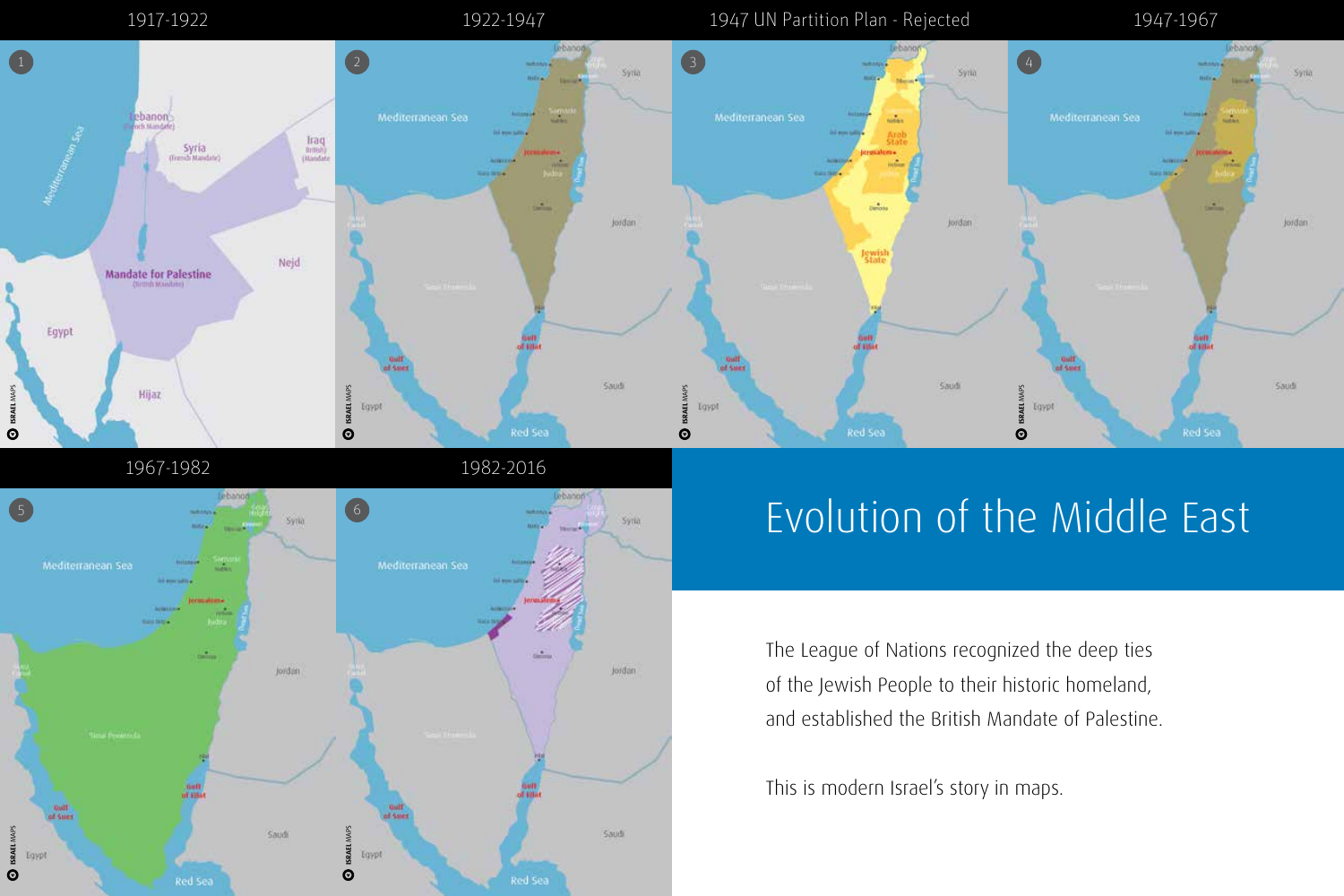

6 5 Syria Syria Mediterranean Sea Jordan Jordan **Soft**<br>of site **Quilt**<br>coll Suez of Sues MAPS **ISRAEL**  MAPS **ISRAEL**   $\mathbf Q$  ISRAEL MAPS Saudi Saudi Egypt Egypt  $\odot$ Red Sea Red Sea

## Evolution of the Middle East

The League of Nations recognized the deep ties of the Jewish People to their historic homeland, and established the British Mandate of Palestine.

This is modern Israel's story in maps.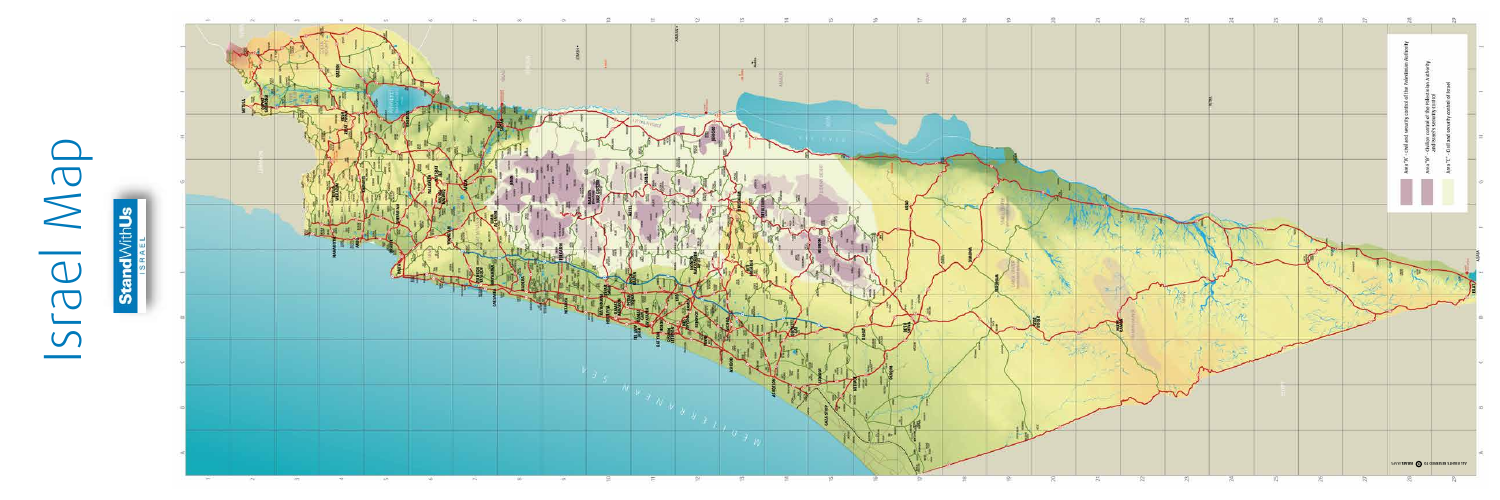# Map Israel

Ę <u> v</u>

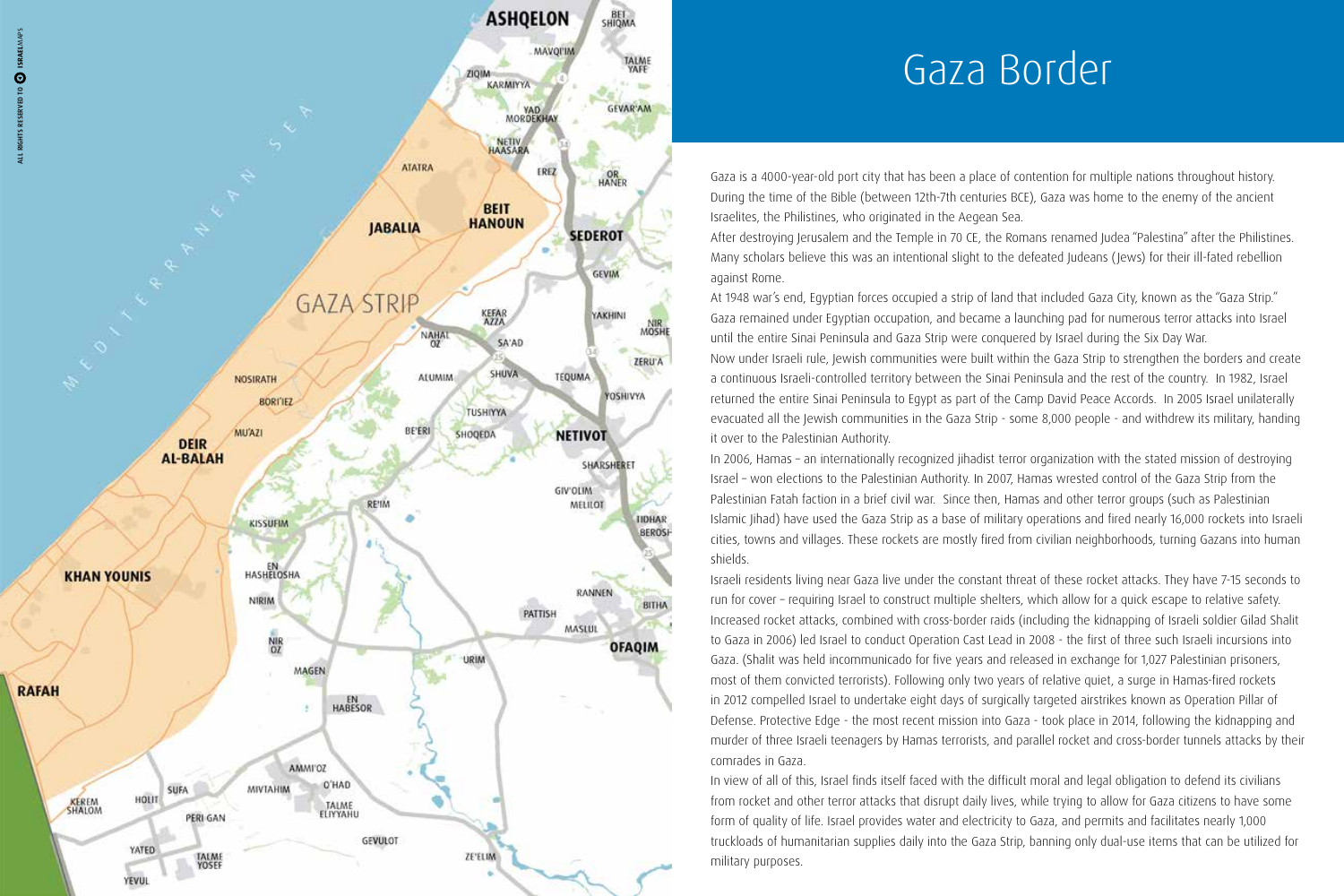

## Gaza Border

Gaza is a 4000-year-old port city that has been a place of contention for multiple nations throughout history. During the time of the Bible (between 12th-7th centuries BCE), Gaza was home to the enemy of the ancient Israelites, the Philistines, who originated in the Aegean Sea.

After destroying Jerusalem and the Temple in 70 CE, the Romans renamed Judea "Palestina" after the Philistines. Many scholars believe this was an intentional slight to the defeated Judeans (Jews) for their ill-fated rebellion against Rome.

At 1948 war's end, Eqyptian forces occupied a strip of land that included Gaza City, known as the "Gaza Strip." Gaza remained under Eqyptian occupation, and became a launching pad for numerous terror attacks into Israel until the entire Sinai Peninsula and Gaza Strip were conquered by Israel during the Six Day War.

Now under Israeli rule, Jewish communities were built within the Gaza Strip to strengthen the borders and create a continuous Israeli-controlled territory between the Sinai Peninsula and the rest of the country. In 1982, Israel returned the entire Sinai Peninsula to Egypt as part of the Camp David Peace Accords. In 2005 Israel unilaterally evacuated all the Jewish communities in the Gaza Strip - some 8,000 people - and withdrew its military, handing it over to the Palestinian Authority.

In 2006, Hamas - an internationally recognized jihadist terror organization with the stated mission of destroying Israel - won elections to the Palestinian Authority. In 2007, Hamas wrested control of the Gaza Strip from the Palestinian Fatah faction in a brief civil war. Since then, Hamas and other terror groups (such as Palestinian Islamic Jihad) have used the Gaza Strip as a base of military operations and fired nearly 16,000 rockets into Israeli cities, towns and villages. These rockets are mostly fired from civilian neighborhoods, turning Gazans into human .shields

Israeli residents living near Gaza live under the constant threat of these rocket attacks. They have 7-15 seconds to run for cover - requiring Israel to construct multiple shelters, which allow for a quick escape to relative safety. Increased rocket attacks, combined with cross-border raids (including the kidnapping of Israeli soldier Gilad Shalit to Gaza in 2006) led Israel to conduct Operation Cast Lead in 2008 - the first of three such Israeli incursions into Gaza. (Shalit was held incommunicado for five years and released in exchange for 1,027 Palestinian prisoners, most of them convicted terrorists). Following only two years of relative quiet, a surge in Hamas-fired rockets in 2012 compelled Israel to undertake eight days of surgically targeted airstrikes known as Operation Pillar of Defense. Protective Edge - the most recent mission into Gaza - took place in 2014, following the kidnapping and murder of three Israeli teenagers by Hamas terrorists, and parallel rocket and cross-border tunnels attacks by their comrades in Gaza.

In view of all of this, Israel finds itself faced with the difficult moral and legal obligation to defend its civilians from rocket and other terror attacks that disrupt daily lives, while trying to allow for Gaza citizens to have some form of quality of life. Israel provides water and electricity to Gaza, and permits and facilitates nearly 1,000 truckloads of humanitarian supplies daily into the Gaza Strip, banning only dual-use items that can be utilized for military purposes.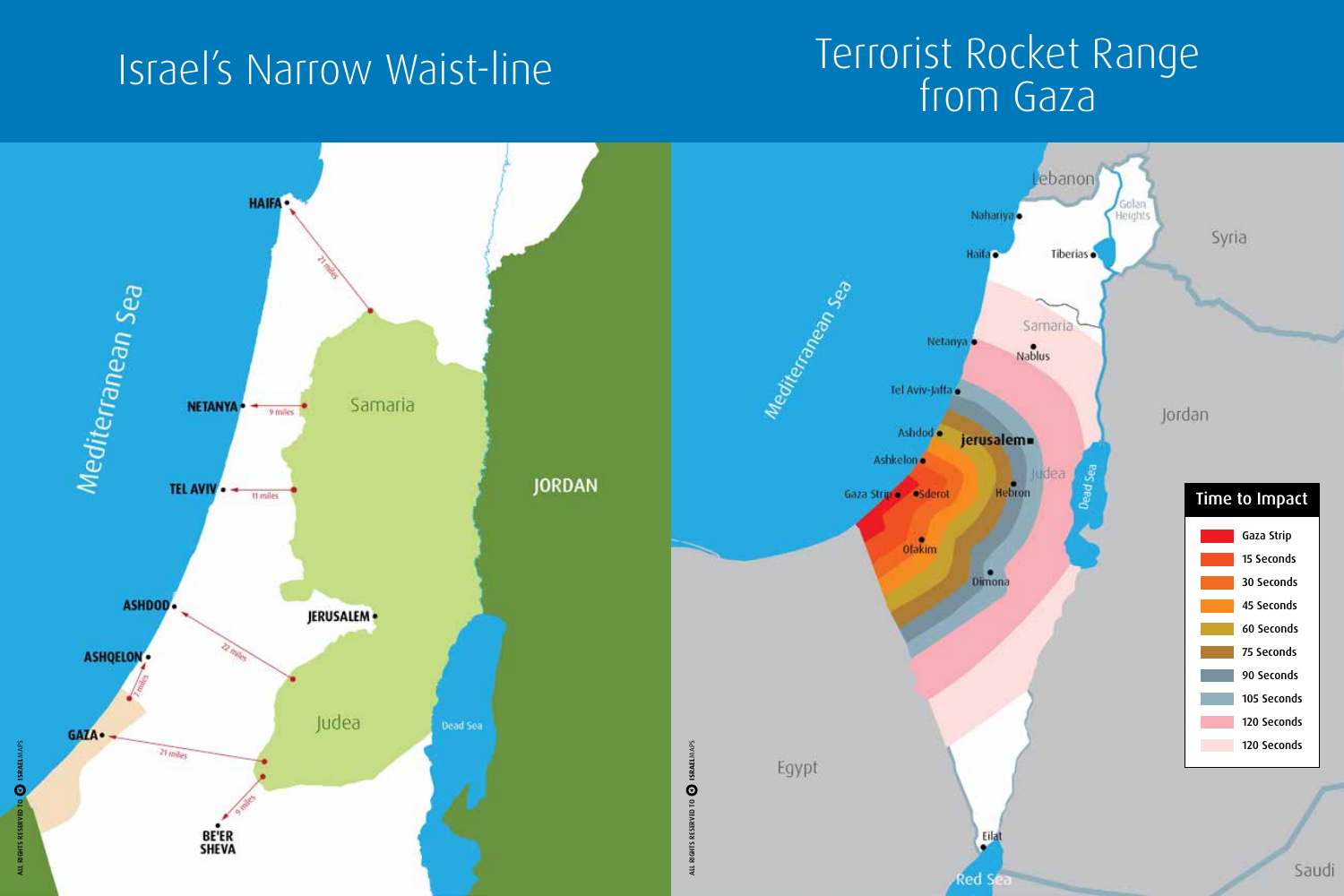MAPS **ISRAEL**

 $\odot$ 

ALL RIGHTS RESERVED TO